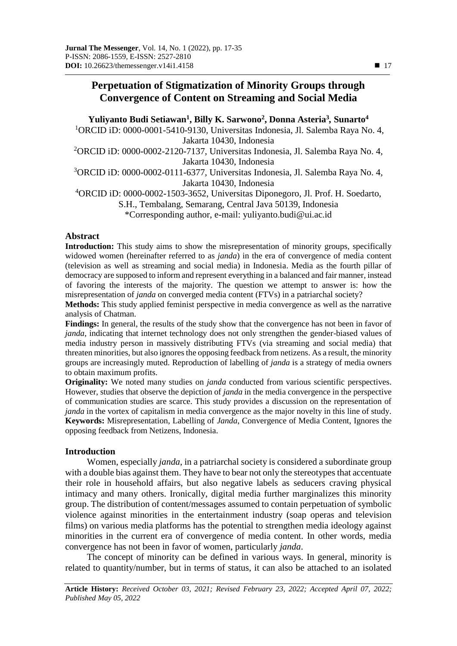# **Perpetuation of Stigmatization of Minority Groups through Convergence of Content on Streaming and Social Media**

**Yuliyanto Budi Setiawan<sup>1</sup> , Billy K. Sarwono<sup>2</sup> , Donna Asteria<sup>3</sup>** *,* **Sunarto<sup>4</sup>** <sup>1</sup>ORCID iD: 0000-0001-5410-9130, Universitas Indonesia, Jl. Salemba Raya No. 4, Jakarta 10430, Indonesia <sup>2</sup>ORCID iD: 0000-0002-2120-7137, Universitas Indonesia, Jl. Salemba Raya No. 4, Jakarta 10430, Indonesia <sup>3</sup>ORCID iD: 0000-0002-0111-6377, Universitas Indonesia, Jl. Salemba Raya No. 4, Jakarta 10430, Indonesia <sup>4</sup>ORCID iD: 0000-0002-1503-3652, Universitas Diponegoro, Jl. Prof. H. Soedarto, S.H., Tembalang, Semarang, Central Java 50139, Indonesia \*Corresponding author, e-mail: yuliyanto.budi@ui.ac.id

## **Abstract**

**Introduction:** This study aims to show the misrepresentation of minority groups, specifically widowed women (hereinafter referred to as *janda*) in the era of convergence of media content (television as well as streaming and social media) in Indonesia. Media as the fourth pillar of democracy are supposed to inform and represent everything in a balanced and fair manner, instead of favoring the interests of the majority. The question we attempt to answer is: how the misrepresentation of *janda* on converged media content (FTVs) in a patriarchal society?

**Methods:** This study applied feminist perspective in media convergence as well as the narrative analysis of Chatman.

**Findings:** In general, the results of the study show that the convergence has not been in favor of *janda*, indicating that internet technology does not only strengthen the gender-biased values of media industry person in massively distributing FTVs (via streaming and social media) that threaten minorities, but also ignores the opposing feedback from netizens. As a result, the minority groups are increasingly muted. Reproduction of labelling of *janda* is a strategy of media owners to obtain maximum profits.

**Originality:** We noted many studies on *janda* conducted from various scientific perspectives. However, studies that observe the depiction of *janda* in the media convergence in the perspective of communication studies are scarce. This study provides a discussion on the representation of *janda* in the vortex of capitalism in media convergence as the major novelty in this line of study. **Keywords:** Misrepresentation, Labelling of *Janda*, Convergence of Media Content, Ignores the opposing feedback from Netizens, Indonesia.

## **Introduction**

Women, especially *janda*, in a patriarchal society is considered a subordinate group with a double bias against them. They have to bear not only the stereotypes that accentuate their role in household affairs, but also negative labels as seducers craving physical intimacy and many others. Ironically, digital media further marginalizes this minority group. The distribution of content/messages assumed to contain perpetuation of symbolic violence against minorities in the entertainment industry (soap operas and television films) on various media platforms has the potential to strengthen media ideology against minorities in the current era of convergence of media content. In other words, media convergence has not been in favor of women, particularly *janda*.

The concept of minority can be defined in various ways. In general, minority is related to quantity/number, but in terms of status, it can also be attached to an isolated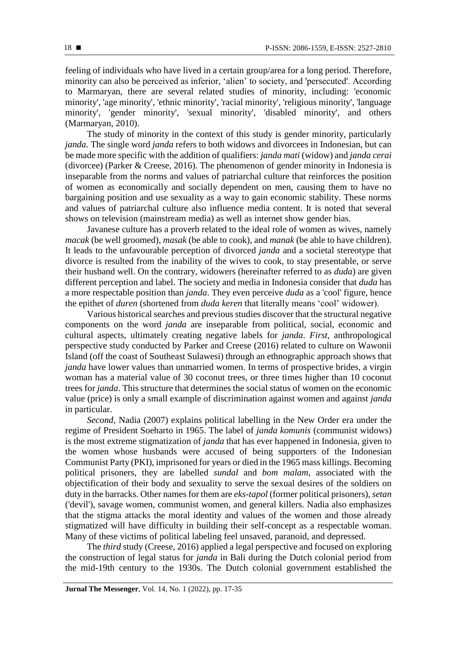feeling of individuals who have lived in a certain group/area for a long period. Therefore, minority can also be perceived as inferior, 'alien' to society, and 'persecuted'. According to Marmaryan, there are several related studies of minority, including: 'economic minority', 'age minority', 'ethnic minority', 'racial minority', 'religious minority', 'language minority', 'gender minority', 'sexual minority', 'disabled minority', and others (Marmaryan, 2010).

The study of minority in the context of this study is gender minority, particularly *janda*. The single word *janda* refers to both widows and divorcees in Indonesian, but can be made more specific with the addition of qualifiers: *janda mati* (widow) and *janda cerai* (divorcee) (Parker & Creese, 2016). The phenomenon of gender minority in Indonesia is inseparable from the norms and values of patriarchal culture that reinforces the position of women as economically and socially dependent on men, causing them to have no bargaining position and use sexuality as a way to gain economic stability. These norms and values of patriarchal culture also influence media content. It is noted that several shows on television (mainstream media) as well as internet show gender bias.

Javanese culture has a proverb related to the ideal role of women as wives, namely *macak* (be well groomed), *masak* (be able to cook), and *manak* (be able to have children). It leads to the unfavourable perception of divorced *janda* and a societal stereotype that divorce is resulted from the inability of the wives to cook, to stay presentable, or serve their husband well. On the contrary, widowers (hereinafter referred to as *duda*) are given different perception and label. The society and media in Indonesia consider that *duda* has a more respectable position than *janda*. They even perceive *duda* as a 'cool' figure, hence the epithet of *duren* (shortened from *duda keren* that literally means 'cool' widower).

Various historical searches and previous studies discover that the structural negative components on the word *janda* are inseparable from political, social, economic and cultural aspects, ultimately creating negative labels for *janda*. *First*, anthropological perspective study conducted by Parker and Creese (2016) related to culture on Wawonii Island (off the coast of Southeast Sulawesi) through an ethnographic approach shows that *janda* have lower values than unmarried women. In terms of prospective brides, a virgin woman has a material value of 30 coconut trees, or three times higher than 10 coconut trees for *janda*. This structure that determines the social status of women on the economic value (price) is only a small example of discrimination against women and against *janda* in particular.

*Second,* Nadia (2007) explains political labelling in the New Order era under the regime of President Soeharto in 1965. The label of *janda komunis* (communist widows) is the most extreme stigmatization of *janda* that has ever happened in Indonesia, given to the women whose husbands were accused of being supporters of the Indonesian Communist Party (PKI), imprisoned for years or died in the 1965 mass killings. Becoming political prisoners, they are labelled *sundal* and *bom malam,* associated with the objectification of their body and sexuality to serve the sexual desires of the soldiers on duty in the barracks. Other names for them are *eks-tapol* (former political prisoners), *setan* ('devil'), savage women, communist women, and general killers. Nadia also emphasizes that the stigma attacks the moral identity and values of the women and those already stigmatized will have difficulty in building their self-concept as a respectable woman. Many of these victims of political labeling feel unsaved, paranoid, and depressed.

The *third* study (Creese, 2016) applied a legal perspective and focused on exploring the construction of legal status for *janda* in Bali during the Dutch colonial period from the mid-19th century to the 1930s. The Dutch colonial government established the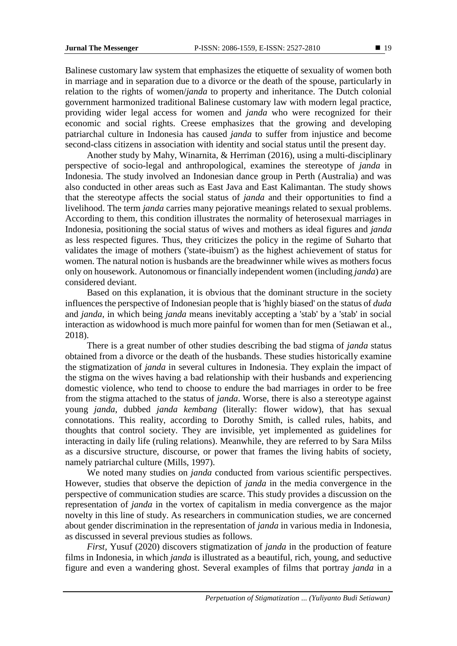Balinese customary law system that emphasizes the etiquette of sexuality of women both in marriage and in separation due to a divorce or the death of the spouse, particularly in relation to the rights of women/*janda* to property and inheritance. The Dutch colonial government harmonized traditional Balinese customary law with modern legal practice, providing wider legal access for women and *janda* who were recognized for their economic and social rights. Creese emphasizes that the growing and developing patriarchal culture in Indonesia has caused *janda* to suffer from injustice and become second-class citizens in association with identity and social status until the present day.

Another study by Mahy, Winarnita, & Herriman (2016), using a multi-disciplinary perspective of socio-legal and anthropological, examines the stereotype of *janda* in Indonesia. The study involved an Indonesian dance group in Perth (Australia) and was also conducted in other areas such as East Java and East Kalimantan. The study shows that the stereotype affects the social status of *janda* and their opportunities to find a livelihood. The term *janda* carries many pejorative meanings related to sexual problems. According to them, this condition illustrates the normality of heterosexual marriages in Indonesia, positioning the social status of wives and mothers as ideal figures and *janda*  as less respected figures. Thus, they criticizes the policy in the regime of Suharto that validates the image of mothers ('state-ibuism') as the highest achievement of status for women. The natural notion is husbands are the breadwinner while wives as mothers focus only on housework. Autonomous or financially independent women (including *janda*) are considered deviant.

Based on this explanation, it is obvious that the dominant structure in the society influences the perspective of Indonesian people that is 'highly biased' on the status of *duda*  and *janda*, in which being *janda* means inevitably accepting a 'stab' by a 'stab' in social interaction as widowhood is much more painful for women than for men (Setiawan et al., 2018).

There is a great number of other studies describing the bad stigma of *janda* status obtained from a divorce or the death of the husbands. These studies historically examine the stigmatization of *janda* in several cultures in Indonesia. They explain the impact of the stigma on the wives having a bad relationship with their husbands and experiencing domestic violence, who tend to choose to endure the bad marriages in order to be free from the stigma attached to the status of *janda*. Worse, there is also a stereotype against young *janda*, dubbed *janda kembang* (literally: flower widow), that has sexual connotations. This reality, according to Dorothy Smith, is called rules, habits, and thoughts that control society. They are invisible, yet implemented as guidelines for interacting in daily life (ruling relations). Meanwhile, they are referred to by Sara Milss as a discursive structure, discourse, or power that frames the living habits of society, namely patriarchal culture (Mills, 1997).

We noted many studies on *janda* conducted from various scientific perspectives. However, studies that observe the depiction of *janda* in the media convergence in the perspective of communication studies are scarce. This study provides a discussion on the representation of *janda* in the vortex of capitalism in media convergence as the major novelty in this line of study. As researchers in communication studies, we are concerned about gender discrimination in the representation of *janda* in various media in Indonesia, as discussed in several previous studies as follows.

*First*, Yusuf (2020) discovers stigmatization of *janda* in the production of feature films in Indonesia, in which *janda* is illustrated as a beautiful, rich, young, and seductive figure and even a wandering ghost. Several examples of films that portray *janda* in a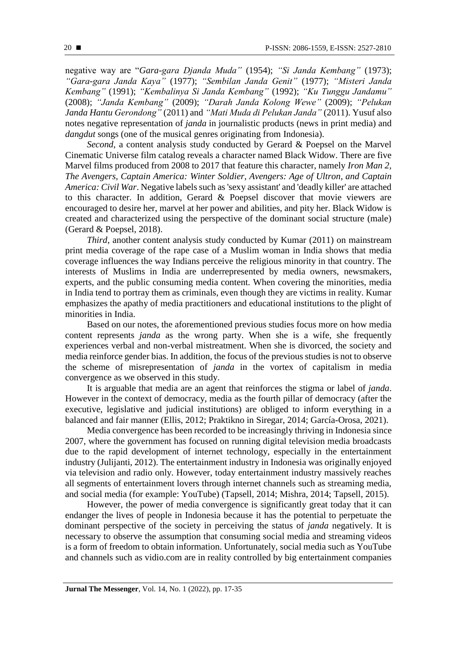negative way are "*Gara-gara Djanda Muda"* (1954); *"Si Janda Kembang"* (1973); *"Gara-gara Janda Kaya"* (1977); *"Sembilan Janda Genit"* (1977); *"Misteri Janda Kembang"* (1991); *"Kembalinya Si Janda Kembang"* (1992); *"Ku Tunggu Jandamu"*  (2008); *"Janda Kembang"* (2009); *"Darah Janda Kolong Wewe"* (2009); *"Pelukan Janda Hantu Gerondong"* (2011) and *"Mati Muda di Pelukan Janda"* (2011). Yusuf also notes negative representation of *janda* in journalistic products (news in print media) and *dangdut* songs (one of the musical genres originating from Indonesia).

*Second*, a content analysis study conducted by Gerard & Poepsel on the Marvel Cinematic Universe film catalog reveals a character named Black Widow. There are five Marvel films produced from 2008 to 2017 that feature this character, namely *Iron Man 2, The Avengers, Captain America: Winter Soldier, Avengers: Age of Ultron, and Captain America: Civil War*. Negative labels such as 'sexy assistant' and 'deadly killer' are attached to this character. In addition, Gerard & Poepsel discover that movie viewers are encouraged to desire her, marvel at her power and abilities, and pity her. Black Widow is created and characterized using the perspective of the dominant social structure (male) (Gerard & Poepsel, 2018).

*Third*, another content analysis study conducted by Kumar (2011) on mainstream print media coverage of the rape case of a Muslim woman in India shows that media coverage influences the way Indians perceive the religious minority in that country. The interests of Muslims in India are underrepresented by media owners, newsmakers, experts, and the public consuming media content. When covering the minorities, media in India tend to portray them as criminals, even though they are victims in reality. Kumar emphasizes the apathy of media practitioners and educational institutions to the plight of minorities in India.

Based on our notes, the aforementioned previous studies focus more on how media content represents *janda* as the wrong party. When she is a wife, she frequently experiences verbal and non-verbal mistreatment. When she is divorced, the society and media reinforce gender bias. In addition, the focus of the previous studies is not to observe the scheme of misrepresentation of *janda* in the vortex of capitalism in media convergence as we observed in this study.

It is arguable that media are an agent that reinforces the stigma or label of *janda*. However in the context of democracy, media as the fourth pillar of democracy (after the executive, legislative and judicial institutions) are obliged to inform everything in a balanced and fair manner (Ellis, 2012; Praktikno in Siregar, 2014; García-Orosa, 2021).

Media convergence has been recorded to be increasingly thriving in Indonesia since 2007, where the government has focused on running digital television media broadcasts due to the rapid development of internet technology, especially in the entertainment industry (Julijanti, 2012). The entertainment industry in Indonesia was originally enjoyed via television and radio only. However, today entertainment industry massively reaches all segments of entertainment lovers through internet channels such as streaming media, and social media (for example: YouTube) (Tapsell, 2014; Mishra, 2014; Tapsell, 2015).

However, the power of media convergence is significantly great today that it can endanger the lives of people in Indonesia because it has the potential to perpetuate the dominant perspective of the society in perceiving the status of *janda* negatively. It is necessary to observe the assumption that consuming social media and streaming videos is a form of freedom to obtain information. Unfortunately, social media such as YouTube and channels such as vidio.com are in reality controlled by big entertainment companies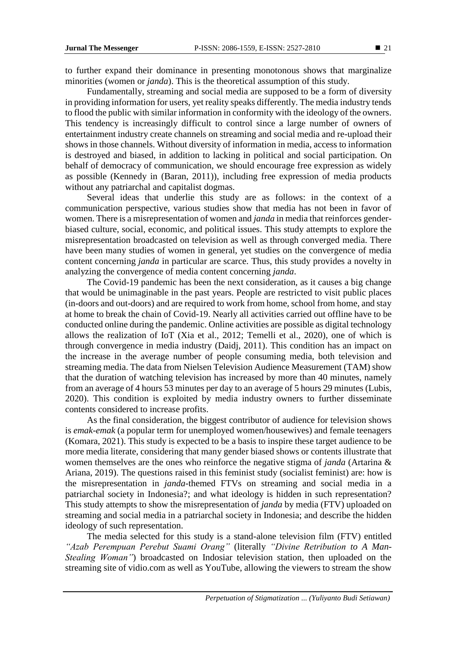to further expand their dominance in presenting monotonous shows that marginalize minorities (women or *janda*). This is the theoretical assumption of this study.

Fundamentally, streaming and social media are supposed to be a form of diversity in providing information for users, yet reality speaks differently. The media industry tends to flood the public with similar information in conformity with the ideology of the owners. This tendency is increasingly difficult to control since a large number of owners of entertainment industry create channels on streaming and social media and re-upload their shows in those channels. Without diversity of information in media, access to information is destroyed and biased, in addition to lacking in political and social participation. On behalf of democracy of communication, we should encourage free expression as widely as possible (Kennedy in (Baran, 2011)), including free expression of media products without any patriarchal and capitalist dogmas.

Several ideas that underlie this study are as follows: in the context of a communication perspective, various studies show that media has not been in favor of women. There is a misrepresentation of women and *janda* in media that reinforces genderbiased culture, social, economic, and political issues. This study attempts to explore the misrepresentation broadcasted on television as well as through converged media. There have been many studies of women in general, yet studies on the convergence of media content concerning *janda* in particular are scarce. Thus, this study provides a novelty in analyzing the convergence of media content concerning *janda*.

The Covid-19 pandemic has been the next consideration, as it causes a big change that would be unimaginable in the past years. People are restricted to visit public places (in-doors and out-doors) and are required to work from home, school from home, and stay at home to break the chain of Covid-19. Nearly all activities carried out offline have to be conducted online during the pandemic. Online activities are possible as digital technology allows the realization of IoT (Xia et al., 2012; Temelli et al., 2020), one of which is through convergence in media industry (Daidj, 2011). This condition has an impact on the increase in the average number of people consuming media, both television and streaming media. The data from Nielsen Television Audience Measurement (TAM) show that the duration of watching television has increased by more than 40 minutes, namely from an average of 4 hours 53 minutes per day to an average of 5 hours 29 minutes (Lubis, 2020). This condition is exploited by media industry owners to further disseminate contents considered to increase profits.

As the final consideration, the biggest contributor of audience for television shows is *emak-emak* (a popular term for unemployed women/housewives) and female teenagers (Komara, 2021). This study is expected to be a basis to inspire these target audience to be more media literate, considering that many gender biased shows or contents illustrate that women themselves are the ones who reinforce the negative stigma of *janda* (Artarina & Ariana, 2019). The questions raised in this feminist study (socialist feminist) are: how is the misrepresentation in *janda*-themed FTVs on streaming and social media in a patriarchal society in Indonesia?; and what ideology is hidden in such representation? This study attempts to show the misrepresentation of *janda* by media (FTV) uploaded on streaming and social media in a patriarchal society in Indonesia; and describe the hidden ideology of such representation.

The media selected for this study is a stand-alone television film (FTV) entitled *"Azab Perempuan Perebut Suami Orang"* (literally *"Divine Retribution to A Man-Stealing Woman"*) broadcasted on Indosiar television station, then uploaded on the streaming site of vidio.com as well as YouTube, allowing the viewers to stream the show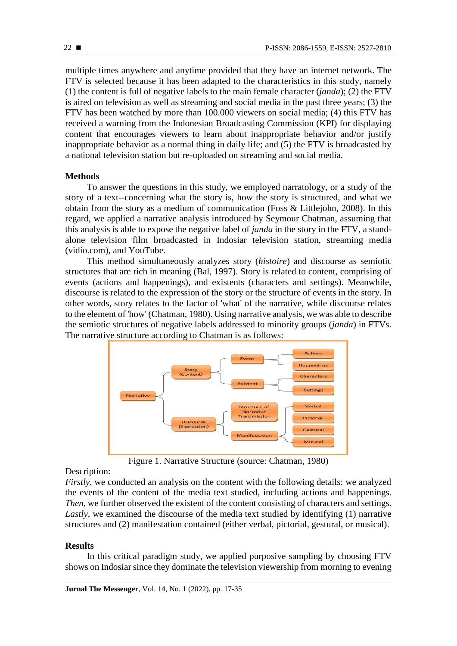multiple times anywhere and anytime provided that they have an internet network. The FTV is selected because it has been adapted to the characteristics in this study, namely (1) the content is full of negative labels to the main female character (*janda*); (2) the FTV is aired on television as well as streaming and social media in the past three years; (3) the FTV has been watched by more than 100.000 viewers on social media; (4) this FTV has received a warning from the Indonesian Broadcasting Commission (KPI) for displaying content that encourages viewers to learn about inappropriate behavior and/or justify inappropriate behavior as a normal thing in daily life; and (5) the FTV is broadcasted by a national television station but re-uploaded on streaming and social media.

### **Methods**

To answer the questions in this study, we employed narratology, or a study of the story of a text--concerning what the story is, how the story is structured, and what we obtain from the story as a medium of communication (Foss & Littlejohn, 2008). In this regard, we applied a narrative analysis introduced by Seymour Chatman, assuming that this analysis is able to expose the negative label of *janda* in the story in the FTV, a standalone television film broadcasted in Indosiar television station, streaming media (vidio.com), and YouTube.

This method simultaneously analyzes story (*histoire*) and discourse as semiotic structures that are rich in meaning (Bal, 1997). Story is related to content, comprising of events (actions and happenings), and existents (characters and settings). Meanwhile, discourse is related to the expression of the story or the structure of events in the story. In other words, story relates to the factor of 'what' of the narrative, while discourse relates to the element of 'how' (Chatman, 1980). Using narrative analysis, we was able to describe the semiotic structures of negative labels addressed to minority groups (*janda*) in FTVs. The narrative structure according to Chatman is as follows:



Figure 1. Narrative Structure (source: Chatman, 1980)

#### Description:

*Firstly*, we conducted an analysis on the content with the following details: we analyzed the events of the content of the media text studied, including actions and happenings. *Then*, we further observed the existent of the content consisting of characters and settings. *Lastly*, we examined the discourse of the media text studied by identifying (1) narrative structures and (2) manifestation contained (either verbal, pictorial, gestural, or musical).

#### **Results**

In this critical paradigm study, we applied purposive sampling by choosing FTV shows on Indosiar since they dominate the television viewership from morning to evening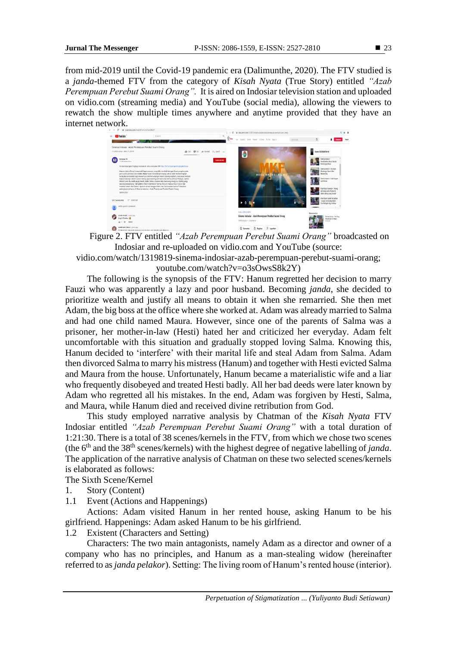from mid-2019 until the Covid-19 pandemic era (Dalimunthe, 2020). The FTV studied is a *janda*-themed FTV from the category of *Kisah Nyata* (True Story) entitled *"Azab Perempuan Perebut Suami Orang".* It is aired on Indosiar television station and uploaded on vidio.com (streaming media) and YouTube (social media), allowing the viewers to rewatch the show multiple times anywhere and anytime provided that they have an internet network.



Figure 2. FTV entitled *"Azab Perempuan Perebut Suami Orang"* broadcasted on Indosiar and re-uploaded on vidio.com and YouTube (source:

vidio.com/watch/1319819-sinema-indosiar-azab-perempuan-perebut-suami-orang; youtube.com/watch?v=o3sOwsS8k2Y)

The following is the synopsis of the FTV: Hanum regretted her decision to marry Fauzi who was apparently a lazy and poor husband. Becoming *janda*, she decided to prioritize wealth and justify all means to obtain it when she remarried. She then met Adam, the big boss at the office where she worked at. Adam was already married to Salma and had one child named Maura. However, since one of the parents of Salma was a prisoner, her mother-in-law (Hesti) hated her and criticized her everyday. Adam felt uncomfortable with this situation and gradually stopped loving Salma. Knowing this, Hanum decided to 'interfere' with their marital life and steal Adam from Salma. Adam then divorced Salma to marry his mistress (Hanum) and together with Hesti evicted Salma and Maura from the house. Unfortunately, Hanum became a materialistic wife and a liar who frequently disobeyed and treated Hesti badly. All her bad deeds were later known by Adam who regretted all his mistakes. In the end, Adam was forgiven by Hesti, Salma, and Maura, while Hanum died and received divine retribution from God.

This study employed narrative analysis by Chatman of the *Kisah Nyata* FTV Indosiar entitled *"Azab Perempuan Perebut Suami Orang"* with a total duration of 1:21:30. There is a total of 38 scenes/kernels in the FTV, from which we chose two scenes (the 6th and the 38th scenes/kernels) with the highest degree of negative labelling of *janda*. The application of the narrative analysis of Chatman on these two selected scenes/kernels is elaborated as follows:

The Sixth Scene/Kernel

- 1. Story (Content)
- 1.1 Event (Actions and Happenings)

Actions: Adam visited Hanum in her rented house, asking Hanum to be his girlfriend. Happenings: Adam asked Hanum to be his girlfriend.

1.2 Existent (Characters and Setting)

Characters: The two main antagonists, namely Adam as a director and owner of a company who has no principles, and Hanum as a man-stealing widow (hereinafter referred to as*janda pelakor*). Setting: The living room of Hanum's rented house (interior).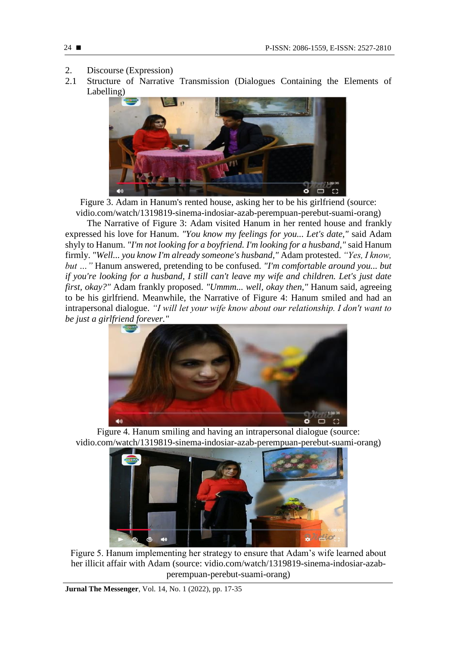- 2. Discourse (Expression)
- 2.1 Structure of Narrative Transmission (Dialogues Containing the Elements of Labelling)



Figure 3. Adam in Hanum's rented house, asking her to be his girlfriend (source: vidio.com/watch/1319819-sinema-indosiar-azab-perempuan-perebut-suami-orang)

The Narrative of Figure 3: Adam visited Hanum in her rented house and frankly expressed his love for Hanum. *"You know my feelings for you... Let's date,"* said Adam shyly to Hanum. *"I'm not looking for a boyfriend. I'm looking for a husband,"* said Hanum firmly. *"Well... you know I'm already someone's husband,"* Adam protested. *"Yes, I know, but …"* Hanum answered, pretending to be confused. *"I'm comfortable around you... but if you're looking for a husband, I still can't leave my wife and children. Let's just date first, okay?"* Adam frankly proposed. *"Ummm... well, okay then,"* Hanum said, agreeing to be his girlfriend. Meanwhile, the Narrative of Figure 4: Hanum smiled and had an intrapersonal dialogue. *"I will let your wife know about our relationship. I don't want to be just a girlfriend forever."*



Figure 4. Hanum smiling and having an intrapersonal dialogue (source: vidio.com/watch/1319819-sinema-indosiar-azab-perempuan-perebut-suami-orang)



Figure 5. Hanum implementing her strategy to ensure that Adam's wife learned about her illicit affair with Adam (source: vidio.com/watch/1319819-sinema-indosiar-azabperempuan-perebut-suami-orang)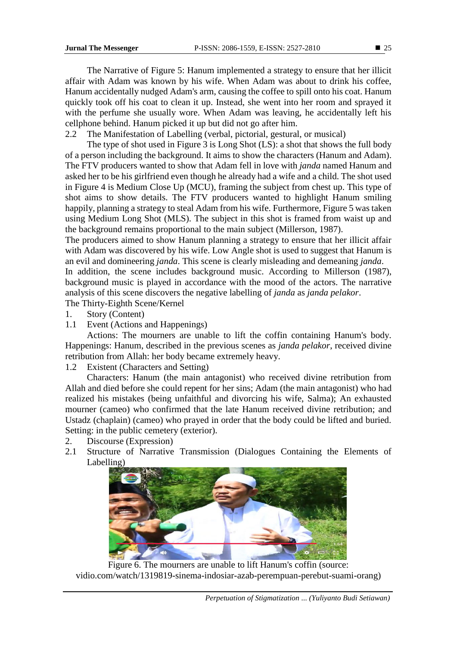The Narrative of Figure 5: Hanum implemented a strategy to ensure that her illicit affair with Adam was known by his wife. When Adam was about to drink his coffee, Hanum accidentally nudged Adam's arm, causing the coffee to spill onto his coat. Hanum quickly took off his coat to clean it up. Instead, she went into her room and sprayed it with the perfume she usually wore. When Adam was leaving, he accidentally left his cellphone behind. Hanum picked it up but did not go after him.

2.2 The Manifestation of Labelling (verbal, pictorial, gestural, or musical)

The type of shot used in Figure 3 is Long Shot (LS): a shot that shows the full body of a person including the background. It aims to show the characters (Hanum and Adam). The FTV producers wanted to show that Adam fell in love with *janda* named Hanum and asked her to be his girlfriend even though he already had a wife and a child. The shot used in Figure 4 is Medium Close Up (MCU), framing the subject from chest up. This type of shot aims to show details. The FTV producers wanted to highlight Hanum smiling happily, planning a strategy to steal Adam from his wife. Furthermore, Figure 5 was taken using Medium Long Shot (MLS). The subject in this shot is framed from waist up and the background remains proportional to the main subject (Millerson, 1987).

The producers aimed to show Hanum planning a strategy to ensure that her illicit affair with Adam was discovered by his wife. Low Angle shot is used to suggest that Hanum is an evil and domineering *janda*. This scene is clearly misleading and demeaning *janda*.

In addition, the scene includes background music. According to Millerson (1987), background music is played in accordance with the mood of the actors. The narrative analysis of this scene discovers the negative labelling of *janda* as *janda pelakor*.

The Thirty-Eighth Scene/Kernel

- 1. Story (Content)
- 1.1 Event (Actions and Happenings)

Actions: The mourners are unable to lift the coffin containing Hanum's body. Happenings: Hanum, described in the previous scenes as *janda pelakor*, received divine retribution from Allah: her body became extremely heavy.

1.2 Existent (Characters and Setting)

Characters: Hanum (the main antagonist) who received divine retribution from Allah and died before she could repent for her sins; Adam (the main antagonist) who had realized his mistakes (being unfaithful and divorcing his wife, Salma); An exhausted mourner (cameo) who confirmed that the late Hanum received divine retribution; and Ustadz (chaplain) (cameo) who prayed in order that the body could be lifted and buried. Setting: in the public cemetery (exterior).

- 2. Discourse (Expression)
- 2.1 Structure of Narrative Transmission (Dialogues Containing the Elements of Labelling)



Figure 6. The mourners are unable to lift Hanum's coffin (source: vidio.com/watch/1319819-sinema-indosiar-azab-perempuan-perebut-suami-orang)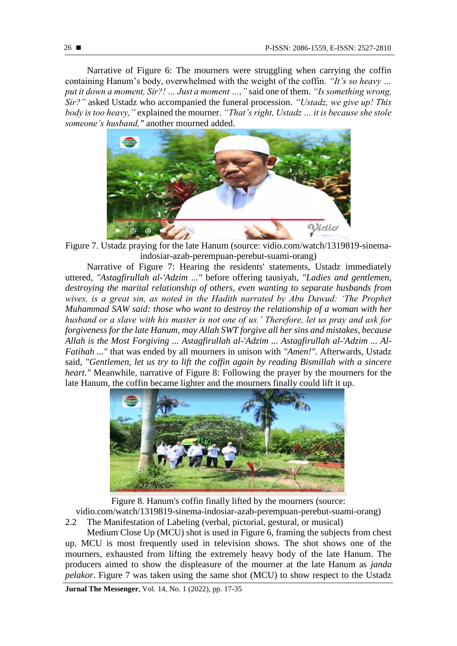Narrative of Figure 6: The mourners were struggling when carrying the coffin containing Hanum's body, overwhelmed with the weight of the coffin. *"It's so heavy … put it down a moment, Sir?! … Just a moment …,"* said one of them. *"Is something wrong, Sir?"* asked Ustadz who accompanied the funeral procession. *"Ustadz, we give up! This body is too heavy,"* explained the mourner. *"That's right, Ustadz … it is because she stole someone's husband,"* another mourned added.



Figure 7. Ustadz praying for the late Hanum (source: vidio.com/watch/1319819-sinemaindosiar-azab-perempuan-perebut-suami-orang)

Narrative of Figure 7: Hearing the residents' statements, Ustadz immediately uttered, *"Astagfirullah al-'Adzim ..."* before offering tausiyah, *"Ladies and gentlemen, destroying the marital relationship of others, even wanting to separate husbands from*  wives, is a great sin, as noted in the Hadith narrated by Abu Dawud: 'The Prophet *Muhammad SAW said: those who want to destroy the relationship of a woman with her husband or a slave with his master is not one of us.' Therefore, let us pray and ask for forgiveness for the late Hanum, may Allah SWT forgive all her sins and mistakes, because Allah is the Most Forgiving ... Astagfirullah al-'Adzim ... Astagfirullah al-'Adzim ... Al-Fatihah ..."* that was ended by all mourners in unison with *"Amen!".* Afterwards, Ustadz said, *"Gentlemen, let us try to lift the coffin again by reading Bismillah with a sincere heart."* Meanwhile, narrative of Figure 8: Following the prayer by the mourners for the late Hanum, the coffin became lighter and the mourners finally could lift it up.



Figure 8. Hanum's coffin finally lifted by the mourners (source:

vidio.com/watch/1319819-sinema-indosiar-azab-perempuan-perebut-suami-orang) 2.2 The Manifestation of Labeling (verbal, pictorial, gestural, or musical)

Medium Close Up (MCU) shot is used in Figure 6, framing the subjects from chest up. MCU is most frequently used in television shows. The shot shows one of the mourners, exhausted from lifting the extremely heavy body of the late Hanum. The producers aimed to show the displeasure of the mourner at the late Hanum as *janda pelakor*. Figure 7 was taken using the same shot (MCU) to show respect to the Ustadz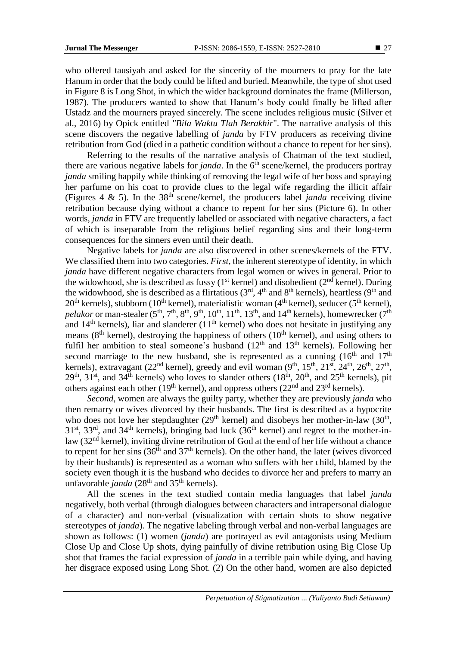who offered tausiyah and asked for the sincerity of the mourners to pray for the late Hanum in order that the body could be lifted and buried. Meanwhile, the type of shot used in Figure 8 is Long Shot, in which the wider background dominates the frame (Millerson, 1987). The producers wanted to show that Hanum's body could finally be lifted after Ustadz and the mourners prayed sincerely. The scene includes religious music (Silver et al., 2016) by Opick entitled *"Bila Waktu Tlah Berakhir*". The narrative analysis of this scene discovers the negative labelling of *janda* by FTV producers as receiving divine retribution from God (died in a pathetic condition without a chance to repent for her sins).

Referring to the results of the narrative analysis of Chatman of the text studied, there are various negative labels for *janda*. In the  $6<sup>th</sup>$  scene/kernel, the producers portray *janda* smiling happily while thinking of removing the legal wife of her boss and spraying her parfume on his coat to provide clues to the legal wife regarding the illicit affair (Figures 4  $\&$  5). In the 38<sup>th</sup> scene/kernel, the producers label *janda* receiving divine retribution because dying without a chance to repent for her sins (Picture 6). In other words, *janda* in FTV are frequently labelled or associated with negative characters, a fact of which is inseparable from the religious belief regarding sins and their long-term consequences for the sinners even until their death.

Negative labels for *janda* are also discovered in other scenes/kernels of the FTV. We classified them into two categories. *First,* the inherent stereotype of identity, in which *janda* have different negative characters from legal women or wives in general. Prior to the widowhood, she is described as fussy ( $1<sup>st</sup>$  kernel) and disobedient ( $2<sup>nd</sup>$  kernel). During the widowhood, she is described as a flirtatious  $(3<sup>rd</sup>, 4<sup>th</sup>$  and  $8<sup>th</sup>$  kernels), heartless  $(9<sup>th</sup>$  and  $20<sup>th</sup>$  kernels), stubborn (10<sup>th</sup> kernel), materialistic woman (4<sup>th</sup> kernel), seducer (5<sup>th</sup> kernel), *pelakor* or man-stealer (5<sup>th</sup>, 7<sup>th</sup>, 8<sup>th</sup>, 9<sup>th</sup>, 10<sup>th</sup>, 11<sup>th</sup>, 13<sup>th</sup>, and 14<sup>th</sup> kernels), homewrecker (7<sup>th</sup>) and  $14<sup>th</sup>$  kernels), liar and slanderer ( $11<sup>th</sup>$  kernel) who does not hesitate in justifying any means ( $8<sup>th</sup>$  kernel), destroying the happiness of others ( $10<sup>th</sup>$  kernel), and using others to fulfil her ambition to steal someone's husband  $(12<sup>th</sup>$  and  $13<sup>th</sup>$  kernels). Following her second marriage to the new husband, she is represented as a cunning  $(16<sup>th</sup>$  and  $17<sup>th</sup>$ kernels), extravagant (22<sup>nd</sup> kernel), greedy and evil woman (9<sup>th</sup>, 15<sup>th</sup>, 21<sup>st</sup>, 24<sup>th</sup>, 26<sup>th</sup>, 27<sup>th</sup>,  $29<sup>th</sup>$ , 31<sup>st</sup>, and 34<sup>th</sup> kernels) who loves to slander others (18<sup>th</sup>, 20<sup>th</sup>, and 25<sup>th</sup> kernels), pit others against each other (19<sup>th</sup> kernel), and oppress others (22<sup>nd</sup> and 23<sup>rd</sup> kernels).

*Second*, women are always the guilty party, whether they are previously *janda* who then remarry or wives divorced by their husbands. The first is described as a hypocrite who does not love her stepdaughter  $(29<sup>th</sup>$  kernel) and disobeys her mother-in-law  $(30<sup>th</sup>$ ,  $31<sup>st</sup>$ ,  $33<sup>rd</sup>$ , and  $34<sup>th</sup>$  kernels), bringing bad luck ( $36<sup>th</sup>$  kernel) and regret to the mother-inlaw  $(32<sup>nd</sup>$  kernel), inviting divine retribution of God at the end of her life without a chance to repent for her sins  $(36<sup>th</sup>$  and  $37<sup>th</sup>$  kernels). On the other hand, the later (wives divorced by their husbands) is represented as a woman who suffers with her child, blamed by the society even though it is the husband who decides to divorce her and prefers to marry an unfavorable *janda* (28<sup>th</sup> and 35<sup>th</sup> kernels).

All the scenes in the text studied contain media languages that label *janda*  negatively, both verbal (through dialogues between characters and intrapersonal dialogue of a character) and non-verbal (visualization with certain shots to show negative stereotypes of *janda*). The negative labeling through verbal and non-verbal languages are shown as follows: (1) women (*janda*) are portrayed as evil antagonists using Medium Close Up and Close Up shots, dying painfully of divine retribution using Big Close Up shot that frames the facial expression of *janda* in a terrible pain while dying, and having her disgrace exposed using Long Shot. (2) On the other hand, women are also depicted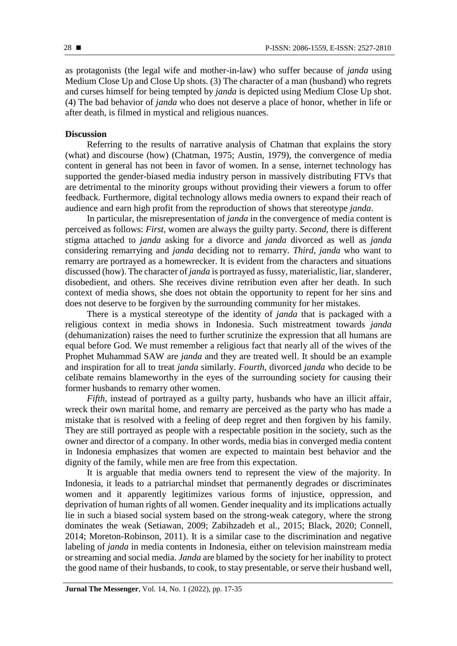as protagonists (the legal wife and mother-in-law) who suffer because of *janda* using Medium Close Up and Close Up shots. (3) The character of a man (husband) who regrets and curses himself for being tempted by *janda* is depicted using Medium Close Up shot. (4) The bad behavior of *janda* who does not deserve a place of honor, whether in life or after death, is filmed in mystical and religious nuances.

### **Discussion**

Referring to the results of narrative analysis of Chatman that explains the story (what) and discourse (how) (Chatman, 1975; Austin, 1979), the convergence of media content in general has not been in favor of women. In a sense, internet technology has supported the gender-biased media industry person in massively distributing FTVs that are detrimental to the minority groups without providing their viewers a forum to offer feedback. Furthermore, digital technology allows media owners to expand their reach of audience and earn high profit from the reproduction of shows that stereotype *janda*.

In particular, the misrepresentation of *janda* in the convergence of media content is perceived as follows: *First,* women are always the guilty party. *Second,* there is different stigma attached to *janda* asking for a divorce and *janda* divorced as well as *janda*  considering remarrying and *janda* deciding not to remarry. *Third*, *janda* who want to remarry are portrayed as a homewrecker. It is evident from the characters and situations discussed (how). The character of *janda* is portrayed as fussy, materialistic, liar, slanderer, disobedient, and others. She receives divine retribution even after her death. In such context of media shows, she does not obtain the opportunity to repent for her sins and does not deserve to be forgiven by the surrounding community for her mistakes.

There is a mystical stereotype of the identity of *janda* that is packaged with a religious context in media shows in Indonesia. Such mistreatment towards *janda* (dehumanization) raises the need to further scrutinize the expression that all humans are equal before God. We must remember a religious fact that nearly all of the wives of the Prophet Muhammad SAW are *janda* and they are treated well. It should be an example and inspiration for all to treat *janda* similarly. *Fourth*, divorced *janda* who decide to be celibate remains blameworthy in the eyes of the surrounding society for causing their former husbands to remarry other women.

*Fifth*, instead of portrayed as a guilty party, husbands who have an illicit affair, wreck their own marital home, and remarry are perceived as the party who has made a mistake that is resolved with a feeling of deep regret and then forgiven by his family. They are still portrayed as people with a respectable position in the society, such as the owner and director of a company. In other words, media bias in converged media content in Indonesia emphasizes that women are expected to maintain best behavior and the dignity of the family, while men are free from this expectation.

It is arguable that media owners tend to represent the view of the majority. In Indonesia, it leads to a patriarchal mindset that permanently degrades or discriminates women and it apparently legitimizes various forms of injustice, oppression, and deprivation of human rights of all women. Gender inequality and its implications actually lie in such a biased social system based on the strong-weak category, where the strong dominates the weak (Setiawan, 2009; Zabihzadeh et al., 2015; Black, 2020; Connell, 2014; Moreton-Robinson, 2011). It is a similar case to the discrimination and negative labeling of *janda* in media contents in Indonesia, either on television mainstream media or streaming and social media. *Janda* are blamed by the society for her inability to protect the good name of their husbands, to cook, to stay presentable, or serve their husband well,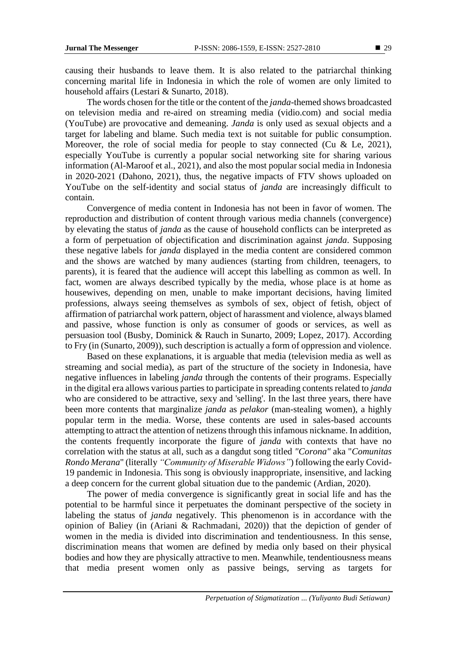**29** 

causing their husbands to leave them. It is also related to the patriarchal thinking concerning marital life in Indonesia in which the role of women are only limited to household affairs (Lestari & Sunarto, 2018).

The words chosen for the title or the content of the *janda*-themed shows broadcasted on television media and re-aired on streaming media (vidio.com) and social media (YouTube) are provocative and demeaning. *Janda* is only used as sexual objects and a target for labeling and blame. Such media text is not suitable for public consumption. Moreover, the role of social media for people to stay connected (Cu & Le, 2021), especially YouTube is currently a popular social networking site for sharing various information (Al-Maroof et al., 2021), and also the most popular social media in Indonesia in 2020-2021 (Dahono, 2021), thus, the negative impacts of FTV shows uploaded on YouTube on the self-identity and social status of *janda* are increasingly difficult to contain.

Convergence of media content in Indonesia has not been in favor of women. The reproduction and distribution of content through various media channels (convergence) by elevating the status of *janda* as the cause of household conflicts can be interpreted as a form of perpetuation of objectification and discrimination against *janda*. Supposing these negative labels for *janda* displayed in the media content are considered common and the shows are watched by many audiences (starting from children, teenagers, to parents), it is feared that the audience will accept this labelling as common as well. In fact, women are always described typically by the media, whose place is at home as housewives, depending on men, unable to make important decisions, having limited professions, always seeing themselves as symbols of sex, object of fetish, object of affirmation of patriarchal work pattern, object of harassment and violence, always blamed and passive, whose function is only as consumer of goods or services, as well as persuasion tool (Busby, Dominick & Rauch in Sunarto, 2009; Lopez, 2017). According to Fry (in (Sunarto, 2009)), such description is actually a form of oppression and violence.

Based on these explanations, it is arguable that media (television media as well as streaming and social media), as part of the structure of the society in Indonesia, have negative influences in labeling *janda* through the contents of their programs. Especially in the digital era allows various parties to participate in spreading contents related to *janda* who are considered to be attractive, sexy and 'selling'. In the last three years, there have been more contents that marginalize *janda* as *pelakor* (man-stealing women), a highly popular term in the media. Worse, these contents are used in sales-based accounts attempting to attract the attention of netizens through this infamous nickname. In addition, the contents frequently incorporate the figure of *janda* with contexts that have no correlation with the status at all, such as a dangdut song titled *"Corona"* aka "*Comunitas Rondo Merana*" (literally *"Community of Miserable Widows"*) following the early Covid-19 pandemic in Indonesia. This song is obviously inappropriate, insensitive, and lacking a deep concern for the current global situation due to the pandemic (Ardian, 2020).

The power of media convergence is significantly great in social life and has the potential to be harmful since it perpetuates the dominant perspective of the society in labeling the status of *janda* negatively. This phenomenon is in accordance with the opinion of Baliey (in (Ariani & Rachmadani, 2020)) that the depiction of gender of women in the media is divided into discrimination and tendentiousness. In this sense, discrimination means that women are defined by media only based on their physical bodies and how they are physically attractive to men. Meanwhile, tendentiousness means that media present women only as passive beings, serving as targets for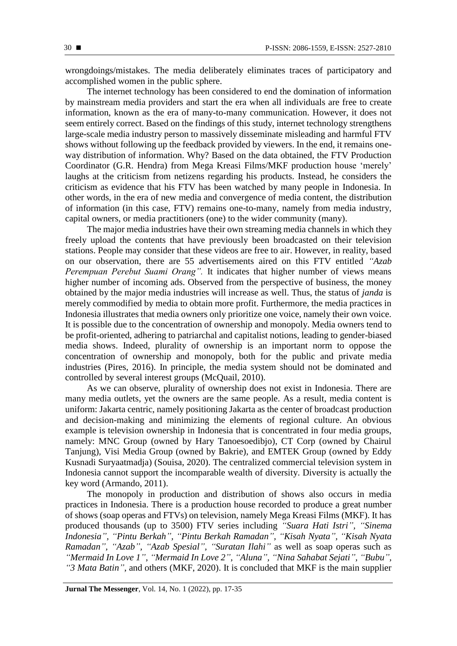wrongdoings/mistakes. The media deliberately eliminates traces of participatory and accomplished women in the public sphere.

The internet technology has been considered to end the domination of information by mainstream media providers and start the era when all individuals are free to create information, known as the era of many-to-many communication. However, it does not seem entirely correct. Based on the findings of this study, internet technology strengthens large-scale media industry person to massively disseminate misleading and harmful FTV shows without following up the feedback provided by viewers. In the end, it remains oneway distribution of information. Why? Based on the data obtained, the FTV Production Coordinator (G.R. Hendra) from Mega Kreasi Films/MKF production house 'merely' laughs at the criticism from netizens regarding his products. Instead, he considers the criticism as evidence that his FTV has been watched by many people in Indonesia. In other words, in the era of new media and convergence of media content, the distribution of information (in this case, FTV) remains one-to-many, namely from media industry, capital owners, or media practitioners (one) to the wider community (many).

The major media industries have their own streaming media channels in which they freely upload the contents that have previously been broadcasted on their television stations. People may consider that these videos are free to air. However, in reality, based on our observation, there are 55 advertisements aired on this FTV entitled *"Azab Perempuan Perebut Suami Orang".* It indicates that higher number of views means higher number of incoming ads. Observed from the perspective of business, the money obtained by the major media industries will increase as well. Thus, the status of *janda* is merely commodified by media to obtain more profit. Furthermore, the media practices in Indonesia illustrates that media owners only prioritize one voice, namely their own voice. It is possible due to the concentration of ownership and monopoly. Media owners tend to be profit-oriented, adhering to patriarchal and capitalist notions, leading to gender-biased media shows. Indeed, plurality of ownership is an important norm to oppose the concentration of ownership and monopoly, both for the public and private media industries (Pires, 2016). In principle, the media system should not be dominated and controlled by several interest groups (McQuail, 2010).

As we can observe, plurality of ownership does not exist in Indonesia. There are many media outlets, yet the owners are the same people. As a result, media content is uniform: Jakarta centric, namely positioning Jakarta as the center of broadcast production and decision-making and minimizing the elements of regional culture. An obvious example is television ownership in Indonesia that is concentrated in four media groups, namely: MNC Group (owned by Hary Tanoesoedibjo), CT Corp (owned by Chairul Tanjung), Visi Media Group (owned by Bakrie), and EMTEK Group (owned by Eddy Kusnadi Suryaatmadja) (Souisa, 2020). The centralized commercial television system in Indonesia cannot support the incomparable wealth of diversity. Diversity is actually the key word (Armando, 2011).

The monopoly in production and distribution of shows also occurs in media practices in Indonesia. There is a production house recorded to produce a great number of shows (soap operas and FTVs) on television, namely Mega Kreasi Films (MKF). It has produced thousands (up to 3500) FTV series including *"Suara Hati Istri", "Sinema Indonesia", "Pintu Berkah", "Pintu Berkah Ramadan", "Kisah Nyata", "Kisah Nyata Ramadan", "Azab", "Azab Spesial", "Suratan Ilahi"* as well as soap operas such as *"Mermaid In Love 1", "Mermaid In Love 2", "Aluna", "Nina Sahabat Sejati", "Bubu", "3 Mata Batin"*, and others (MKF, 2020). It is concluded that MKF is the main supplier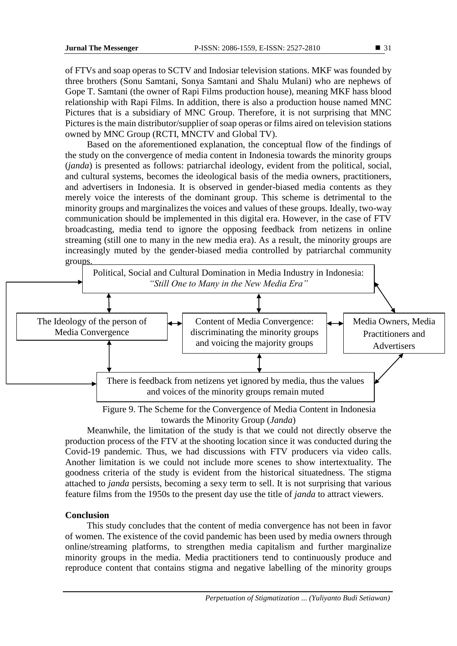of FTVs and soap operas to SCTV and Indosiar television stations. MKF was founded by three brothers (Sonu Samtani, Sonya Samtani and Shalu Mulani) who are nephews of Gope T. Samtani (the owner of Rapi Films production house), meaning MKF hass blood relationship with Rapi Films. In addition, there is also a production house named MNC Pictures that is a subsidiary of MNC Group. Therefore, it is not surprising that MNC Pictures is the main distributor/supplier of soap operas or films aired on television stations owned by MNC Group (RCTI, MNCTV and Global TV).

Based on the aforementioned explanation, the conceptual flow of the findings of the study on the convergence of media content in Indonesia towards the minority groups (*janda*) is presented as follows: patriarchal ideology, evident from the political, social, and cultural systems, becomes the ideological basis of the media owners, practitioners, and advertisers in Indonesia. It is observed in gender-biased media contents as they merely voice the interests of the dominant group. This scheme is detrimental to the minority groups and marginalizes the voices and values of these groups. Ideally, two-way communication should be implemented in this digital era. However, in the case of FTV broadcasting, media tend to ignore the opposing feedback from netizens in online streaming (still one to many in the new media era). As a result, the minority groups are increasingly muted by the gender-biased media controlled by patriarchal community groups.



Figure 9. The Scheme for the Convergence of Media Content in Indonesia towards the Minority Group (*Janda*)

Meanwhile, the limitation of the study is that we could not directly observe the production process of the FTV at the shooting location since it was conducted during the Covid-19 pandemic. Thus, we had discussions with FTV producers via video calls. Another limitation is we could not include more scenes to show intertextuality. The goodness criteria of the study is evident from the historical situatedness. The stigma attached to *janda* persists, becoming a sexy term to sell. It is not surprising that various feature films from the 1950s to the present day use the title of *janda* to attract viewers.

## **Conclusion**

This study concludes that the content of media convergence has not been in favor of women. The existence of the covid pandemic has been used by media owners through online/streaming platforms, to strengthen media capitalism and further marginalize minority groups in the media. Media practitioners tend to continuously produce and reproduce content that contains stigma and negative labelling of the minority groups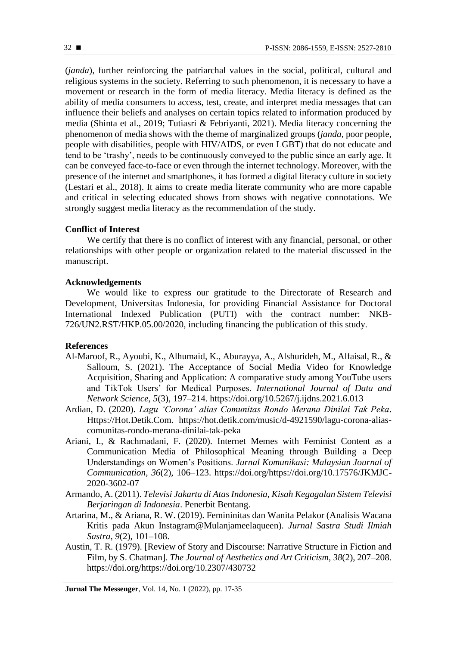(*janda*), further reinforcing the patriarchal values in the social, political, cultural and religious systems in the society. Referring to such phenomenon, it is necessary to have a movement or research in the form of media literacy. Media literacy is defined as the ability of media consumers to access, test, create, and interpret media messages that can influence their beliefs and analyses on certain topics related to information produced by media (Shinta et al., 2019; Tutiasri & Febriyanti, 2021). Media literacy concerning the phenomenon of media shows with the theme of marginalized groups (*janda*, poor people, people with disabilities, people with HIV/AIDS, or even LGBT) that do not educate and tend to be 'trashy', needs to be continuously conveyed to the public since an early age. It can be conveyed face-to-face or even through the internet technology. Moreover, with the presence of the internet and smartphones, it has formed a digital literacy culture in society (Lestari et al., 2018). It aims to create media literate community who are more capable and critical in selecting educated shows from shows with negative connotations. We strongly suggest media literacy as the recommendation of the study.

### **Conflict of Interest**

We certify that there is no conflict of interest with any financial, personal, or other relationships with other people or organization related to the material discussed in the manuscript.

#### **Acknowledgements**

We would like to express our gratitude to the Directorate of Research and Development, Universitas Indonesia, for providing Financial Assistance for Doctoral International Indexed Publication (PUTI) with the contract number: NKB-726/UN2.RST/HKP.05.00/2020, including financing the publication of this study.

#### **References**

- Al-Maroof, R., Ayoubi, K., Alhumaid, K., Aburayya, A., Alshurideh, M., Alfaisal, R., & Salloum, S. (2021). The Acceptance of Social Media Video for Knowledge Acquisition, Sharing and Application: A comparative study among YouTube users and TikTok Users' for Medical Purposes. *International Journal of Data and Network Science*, *5*(3), 197–214. https://doi.org/10.5267/j.ijdns.2021.6.013
- Ardian, D. (2020). *Lagu 'Corona' alias Comunitas Rondo Merana Dinilai Tak Peka*. Https://Hot.Detik.Com. https://hot.detik.com/music/d-4921590/lagu-corona-aliascomunitas-rondo-merana-dinilai-tak-peka
- Ariani, I., & Rachmadani, F. (2020). Internet Memes with Feminist Content as a Communication Media of Philosophical Meaning through Building a Deep Understandings on Women's Positions. *Jurnal Komunikasi: Malaysian Journal of Communication*, *36*(2), 106–123. https://doi.org/https://doi.org/10.17576/JKMJC-2020-3602-07
- Armando, A. (2011). *Televisi Jakarta di Atas Indonesia, Kisah Kegagalan Sistem Televisi Berjaringan di Indonesia*. Penerbit Bentang.
- Artarina, M., & Ariana, R. W. (2019). Femininitas dan Wanita Pelakor (Analisis Wacana Kritis pada Akun Instagram@Mulanjameelaqueen). *Jurnal Sastra Studi Ilmiah Sastra*, *9*(2), 101–108.
- Austin, T. R. (1979). [Review of Story and Discourse: Narrative Structure in Fiction and Film, by S. Chatman]. *The Journal of Aesthetics and Art Criticism*, *38*(2), 207–208. https://doi.org/https://doi.org/10.2307/430732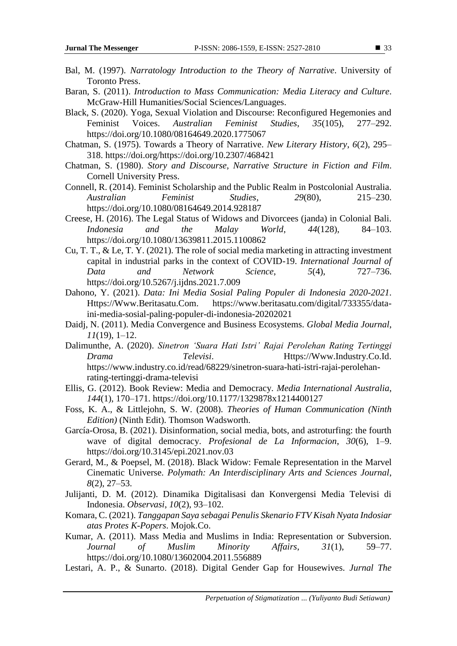- Bal, M. (1997). *Narratology Introduction to the Theory of Narrative*. University of Toronto Press.
- Baran, S. (2011). *Introduction to Mass Communication: Media Literacy and Culture*. McGraw-Hill Humanities/Social Sciences/Languages.
- Black, S. (2020). Yoga, Sexual Violation and Discourse: Reconfigured Hegemonies and Feminist Voices. *Australian Feminist Studies*, *35*(105), 277–292. https://doi.org/10.1080/08164649.2020.1775067
- Chatman, S. (1975). Towards a Theory of Narrative. *New Literary History*, *6*(2), 295– 318. https://doi.org/https://doi.org/10.2307/468421
- Chatman, S. (1980). *Story and Discourse, Narrative Structure in Fiction and Film*. Cornell University Press.
- Connell, R. (2014). Feminist Scholarship and the Public Realm in Postcolonial Australia. *Australian Feminist Studies*, *29*(80), 215–230. https://doi.org/10.1080/08164649.2014.928187
- Creese, H. (2016). The Legal Status of Widows and Divorcees (janda) in Colonial Bali. *Indonesia and the Malay World*, *44*(128), 84–103. https://doi.org/10.1080/13639811.2015.1100862
- Cu, T. T., & Le, T. Y. (2021). The role of social media marketing in attracting investment capital in industrial parks in the context of COVID-19. *International Journal of Data and Network Science*, *5*(4), 727–736. https://doi.org/10.5267/j.ijdns.2021.7.009
- Dahono, Y. (2021). *Data: Ini Media Sosial Paling Populer di Indonesia 2020-2021*. https://www.beritasatu.com/digital/733355/dataini-media-sosial-paling-populer-di-indonesia-20202021
- Daidj, N. (2011). Media Convergence and Business Ecosystems. *Global Media Journal*, *11*(19), 1–12.
- Dalimunthe, A. (2020). *Sinetron 'Suara Hati Istri' Rajai Perolehan Rating Tertinggi Drama Televisi*. Https://Www.Industry.Co.Id. https://www.industry.co.id/read/68229/sinetron-suara-hati-istri-rajai-perolehanrating-tertinggi-drama-televisi
- Ellis, G. (2012). Book Review: Media and Democracy. *Media International Australia*, *144*(1), 170–171. https://doi.org/10.1177/1329878x1214400127
- Foss, K. A., & Littlejohn, S. W. (2008). *Theories of Human Communication (Ninth Edition)* (Ninth Edit). Thomson Wadsworth.
- García-Orosa, B. (2021). Disinformation, social media, bots, and astroturfing: the fourth wave of digital democracy. *Profesional de La Informacion*, *30*(6), 1–9. https://doi.org/10.3145/epi.2021.nov.03
- Gerard, M., & Poepsel, M. (2018). Black Widow: Female Representation in the Marvel Cinematic Universe. *Polymath: An Interdisciplinary Arts and Sciences Journal*, *8*(2), 27–53.
- Julijanti, D. M. (2012). Dinamika Digitalisasi dan Konvergensi Media Televisi di Indonesia. *Observasi*, *10*(2), 93–102.
- Komara, C. (2021). *Tanggapan Saya sebagai Penulis Skenario FTV Kisah Nyata Indosiar atas Protes K-Popers*. Mojok.Co.
- Kumar, A. (2011). Mass Media and Muslims in India: Representation or Subversion. *Journal of Muslim Minority Affairs*, *31*(1), 59–77. https://doi.org/10.1080/13602004.2011.556889
- Lestari, A. P., & Sunarto. (2018). Digital Gender Gap for Housewives. *Jurnal The*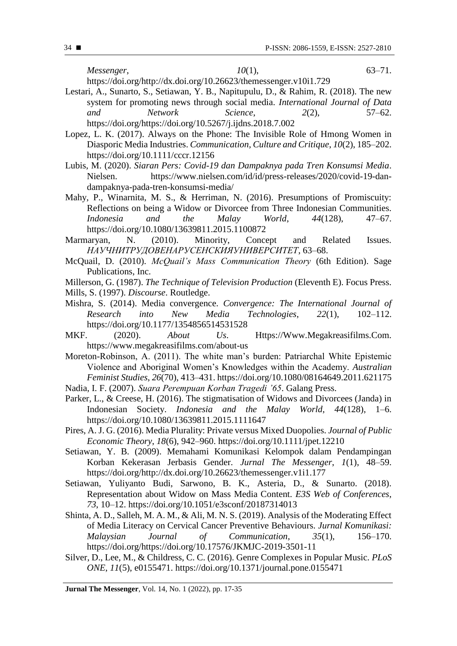*Messenger*, *10*(1), 63–71.

https://doi.org/http://dx.doi.org/10.26623/themessenger.v10i1.729

- Lestari, A., Sunarto, S., Setiawan, Y. B., Napitupulu, D., & Rahim, R. (2018). The new system for promoting news through social media. *International Journal of Data* and *Network* Science, 2(2). 57–62. *and Network Science*, *2*(2), 57–62. https://doi.org/https://doi.org/10.5267/j.ijdns.2018.7.002
- Lopez, L. K. (2017). Always on the Phone: The Invisible Role of Hmong Women in Diasporic Media Industries. *Communication, Culture and Critique*, *10*(2), 185–202. https://doi.org/10.1111/cccr.12156
- Lubis, M. (2020). *Siaran Pers: Covid-19 dan Dampaknya pada Tren Konsumsi Media*. Nielsen. https://www.nielsen.com/id/id/press-releases/2020/covid-19-dandampaknya-pada-tren-konsumsi-media/
- Mahy, P., Winarnita, M. S., & Herriman, N. (2016). Presumptions of Promiscuity: Reflections on being a Widow or Divorcee from Three Indonesian Communities.<br> *Indonesia* and the Malay World, 44(128), 47–67. *Indonesia and the Malay World*, *44*(128), 47–67. https://doi.org/10.1080/13639811.2015.1100872
- Marmaryan, N. (2010). Minority, Concept and Related Issues. *НАУЧНИТРУДОВЕНАРУСЕНСКИЯУНИВЕРСИТЕТ*, 63–68.
- McQuail, D. (2010). *McQuail's Mass Communication Theory* (6th Edition). Sage Publications, Inc.
- Millerson, G. (1987). *The Technique of Television Production* (Eleventh E). Focus Press. Mills, S. (1997). *Discourse*. Routledge.
- Mishra, S. (2014). Media convergence. *Convergence: The International Journal of Research into New Media Technologies*, *22*(1), 102–112. https://doi.org/10.1177/1354856514531528
- MKF. (2020). *About Us*. Https://Www.Megakreasifilms.Com. https://www.megakreasifilms.com/about-us
- Moreton-Robinson, A. (2011). The white man's burden: Patriarchal White Epistemic Violence and Aboriginal Women's Knowledges within the Academy. *Australian Feminist Studies*, *26*(70), 413–431. https://doi.org/10.1080/08164649.2011.621175 Nadia, I. F. (2007). *Suara Perempuan Korban Tragedi '65*. Galang Press.
- Parker, L., & Creese, H. (2016). The stigmatisation of Widows and Divorcees (Janda) in Indonesian Society. *Indonesia and the Malay World*, *44*(128), 1–6. https://doi.org/10.1080/13639811.2015.1111647
- Pires, A. J. G. (2016). Media Plurality: Private versus Mixed Duopolies. *Journal of Public Economic Theory*, *18*(6), 942–960. https://doi.org/10.1111/jpet.12210
- Setiawan, Y. B. (2009). Memahami Komunikasi Kelompok dalam Pendampingan Korban Kekerasan Jerbasis Gender. *Jurnal The Messenger*, *1*(1), 48–59. https://doi.org/http://dx.doi.org/10.26623/themessenger.v1i1.177
- Setiawan, Yuliyanto Budi, Sarwono, B. K., Asteria, D., & Sunarto. (2018). Representation about Widow on Mass Media Content. *E3S Web of Conferences*, *73*, 10–12. https://doi.org/10.1051/e3sconf/20187314013
- Shinta, A. D., Salleh, M. A. M., & Ali, M. N. S. (2019). Analysis of the Moderating Effect of Media Literacy on Cervical Cancer Preventive Behaviours. *Jurnal Komunikasi: Malaysian Journal of Communication*, *35*(1), 156–170. https://doi.org/https://doi.org/10.17576/JKMJC-2019-3501-11
- Silver, D., Lee, M., & Childress, C. C. (2016). Genre Complexes in Popular Music. *PLoS ONE*, *11*(5), e0155471. https://doi.org/10.1371/journal.pone.0155471